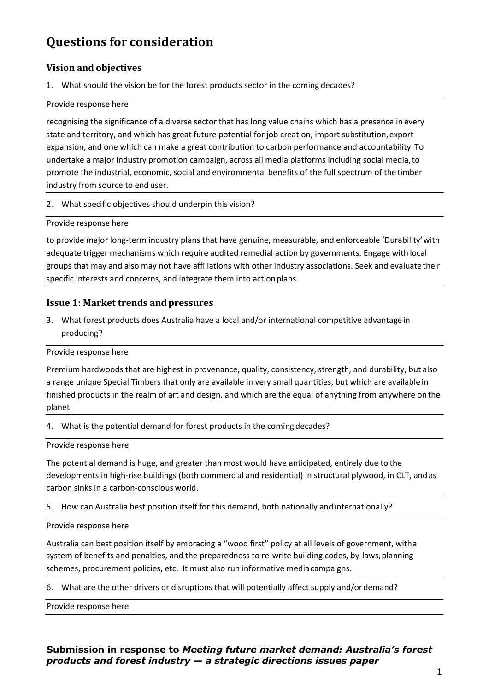# **Questions for consideration**

# **Vision and objectives**

1. What should the vision be for the forest products sector in the coming decades?

#### Provide response here

recognising the significance of a diverse sector that has long value chains which has a presence in every state and territory, and which has great future potential for job creation, import substitution,export expansion, and one which can make a great contribution to carbon performance and accountability. To undertake a major industry promotion campaign, across all media platforms including social media,to promote the industrial, economic, social and environmental benefits of the full spectrum of the timber industry from source to end user.

2. What specific objectives should underpin this vision?

Provide response here

to provide major long-term industry plans that have genuine, measurable, and enforceable 'Durability'with adequate trigger mechanisms which require audited remedial action by governments. Engage with local groups that may and also may not have affiliations with other industry associations. Seek and evaluatetheir specific interests and concerns, and integrate them into action plans.

# **Issue 1: Market trends and pressures**

3. What forest products does Australia have a local and/or international competitive advantage in producing?

## Provide response here

Premium hardwoods that are highest in provenance, quality, consistency, strength, and durability, but also a range unique Special Timbers that only are available in very small quantities, but which are available in finished products in the realm of art and design, and which are the equal of anything from anywhere on the planet.

4. What is the potential demand for forest products in the coming decades?

#### Provide response here

The potential demand is huge, and greater than most would have anticipated, entirely due to the developments in high-rise buildings (both commercial and residential) in structural plywood, in CLT, andas carbon sinks in a carbon-conscious world.

5. How can Australia best position itself for this demand, both nationally andinternationally?

## Provide response here

Australia can best position itself by embracing a "wood first" policy at all levels of government, witha system of benefits and penalties, and the preparedness to re-write building codes, by-laws,planning schemes, procurement policies, etc. It must also run informative mediacampaigns.

6. What are the other drivers or disruptions that will potentially affect supply and/or demand?

Provide response here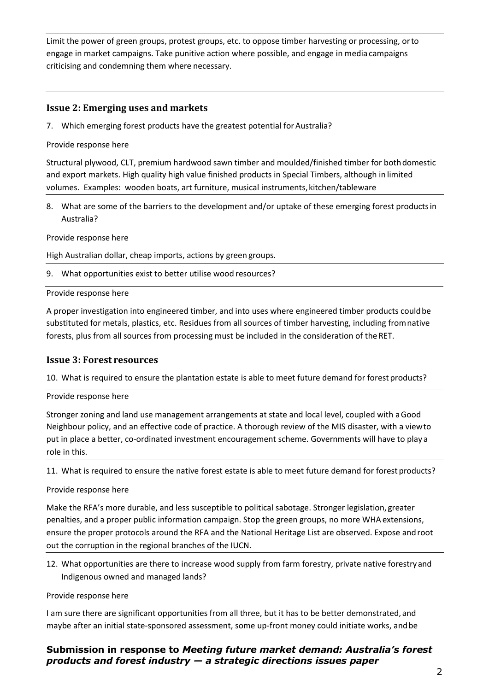Limit the power of green groups, protest groups, etc. to oppose timber harvesting or processing, orto engage in market campaigns. Take punitive action where possible, and engage in media campaigns criticising and condemning them where necessary.

# **Issue 2: Emerging uses and markets**

7. Which emerging forest products have the greatest potential for Australia?

#### Provide response here

Structural plywood, CLT, premium hardwood sawn timber and moulded/finished timber for bothdomestic and export markets. High quality high value finished products in Special Timbers, although in limited volumes. Examples: wooden boats, art furniture, musical instruments,kitchen/tableware

8. What are some of the barriers to the development and/or uptake of these emerging forest productsin Australia?

Provide response here

High Australian dollar, cheap imports, actions by green groups.

9. What opportunities exist to better utilise wood resources?

Provide response here

A proper investigation into engineered timber, and into uses where engineered timber products couldbe substituted for metals, plastics, etc. Residues from all sources of timber harvesting, including fromnative forests, plus from all sources from processing must be included in the consideration of theRET.

## **Issue 3: Forest resources**

10. What is required to ensure the plantation estate is able to meet future demand for forest products?

Provide response here

Stronger zoning and land use management arrangements at state and local level, coupled with aGood Neighbour policy, and an effective code of practice. A thorough review of the MIS disaster, with a viewto put in place a better, co-ordinated investment encouragement scheme. Governments will have to play a role in this.

11. What is required to ensure the native forest estate is able to meet future demand for forest products?

#### Provide response here

Make the RFA's more durable, and less susceptible to political sabotage. Stronger legislation, greater penalties, and a proper public information campaign. Stop the green groups, no more WHAextensions, ensure the proper protocols around the RFA and the National Heritage List are observed. Expose androot out the corruption in the regional branches of the IUCN.

12. What opportunities are there to increase wood supply from farm forestry, private native forestryand Indigenous owned and managed lands?

Provide response here

I am sure there are significant opportunities from all three, but it has to be better demonstrated, and maybe after an initial state-sponsored assessment, some up-front money could initiate works, andbe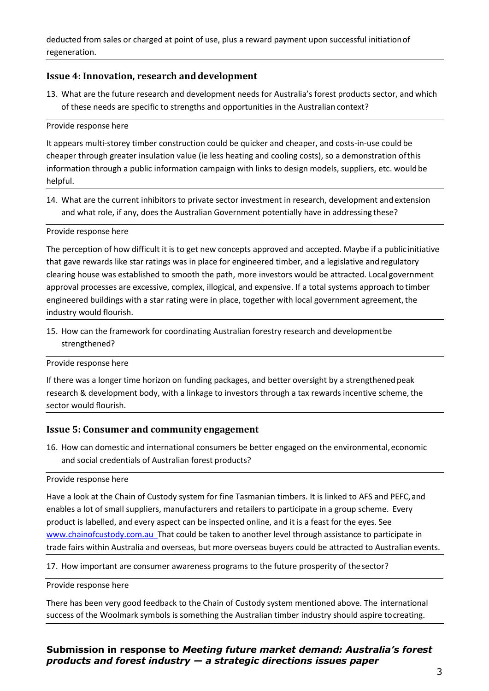deducted from sales or charged at point of use, plus a reward payment upon successful initiationof regeneration.

## **Issue 4: Innovation, research and development**

13. What are the future research and development needs for Australia's forest products sector, and which of these needs are specific to strengths and opportunities in the Australian context?

#### Provide response here

It appears multi-storey timber construction could be quicker and cheaper, and costs-in-use could be cheaper through greater insulation value (ie less heating and cooling costs), so a demonstration ofthis information through a public information campaign with links to design models, suppliers, etc. would be helpful.

14. What are the current inhibitors to private sector investment in research, development andextension and what role, if any, does the Australian Government potentially have in addressing these?

#### Provide response here

The perception of how difficult it is to get new concepts approved and accepted. Maybe if a public initiative that gave rewards like star ratings was in place for engineered timber, and a legislative and regulatory clearing house was established to smooth the path, more investors would be attracted. Local government approval processes are excessive, complex, illogical, and expensive. If a total systems approach to timber engineered buildings with a star rating were in place, together with local government agreement, the industry would flourish.

15. How can the framework for coordinating Australian forestry research and developmentbe strengthened?

#### Provide response here

If there was a longer time horizon on funding packages, and better oversight by a strengthened peak research & development body, with a linkage to investors through a tax rewards incentive scheme, the sector would flourish.

## **Issue 5: Consumer and community engagement**

16. How can domestic and international consumers be better engaged on the environmental,economic and social credentials of Australian forest products?

#### Provide response here

Have a look at the Chain of Custody system for fine Tasmanian timbers. It is linked to AFS and PEFC, and enables a lot of small suppliers, manufacturers and retailers to participate in a group scheme. Every product is labelled, and every aspect can be inspected online, and it is a feast for the eyes. See [www.chainofcustody.com.au T](http://www.chainofcustody.com.au/)hat could be taken to another level through assistance to participate in trade fairs within Australia and overseas, but more overseas buyers could be attracted to Australian events.

17. How important are consumer awareness programs to the future prosperity of thesector?

#### Provide response here

There has been very good feedback to the Chain of Custody system mentioned above. The international success of the Woolmark symbols is something the Australian timber industry should aspire tocreating.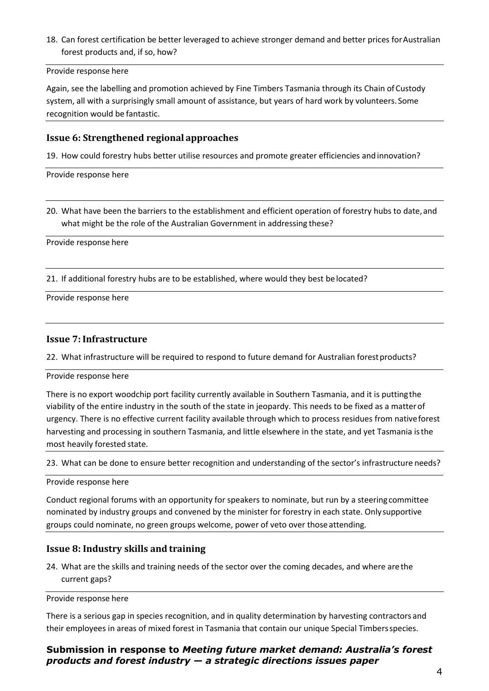18. Can forest certification be better leveraged to achieve stronger demand and better prices for Australian forest products and, if so, how?

#### Provide response here

Again, see the labelling and promotion achieved by Fine Timbers Tasmania through its Chain ofCustody system, all with a surprisingly small amount of assistance, but years of hard work by volunteers. Some recognition would be fantastic.

#### **Issue 6: Strengthened regional approaches**

19. How could forestry hubs better utilise resources and promote greater efficiencies and innovation?

Provide response here

20. What have been the barriers to the establishment and efficient operation of forestry hubs to date, and what might be the role of the Australian Government in addressing these?

Provide response here

21. If additional forestry hubs are to be established, where would they best be located?

Provide response here

#### **Issue 7: Infrastructure**

22. What infrastructure will be required to respond to future demand for Australian forestproducts?

Provide response here

There is no export woodchip port facility currently available in Southern Tasmania, and it is puttingthe viability of the entire industry in the south of the state in jeopardy. This needs to be fixed as a matterof urgency. There is no effective current facility available through which to process residues from nativeforest harvesting and processing in southern Tasmania, and little elsewhere in the state, and yet Tasmania isthe most heavily forested state.

23. What can be done to ensure better recognition and understanding of the sector's infrastructure needs?

Provide response here

Conduct regional forums with an opportunity for speakers to nominate, but run by a steeringcommittee nominated by industry groups and convened by the minister for forestry in each state. Onlysupportive groups could nominate, no green groups welcome, power of veto over those attending.

## **Issue 8: Industry skills and training**

24. What are the skills and training needs of the sector over the coming decades, and where arethe current gaps?

Provide response here

There is a serious gap in species recognition, and in quality determination by harvesting contractors and their employees in areas of mixed forest in Tasmania that contain our unique Special Timbersspecies.